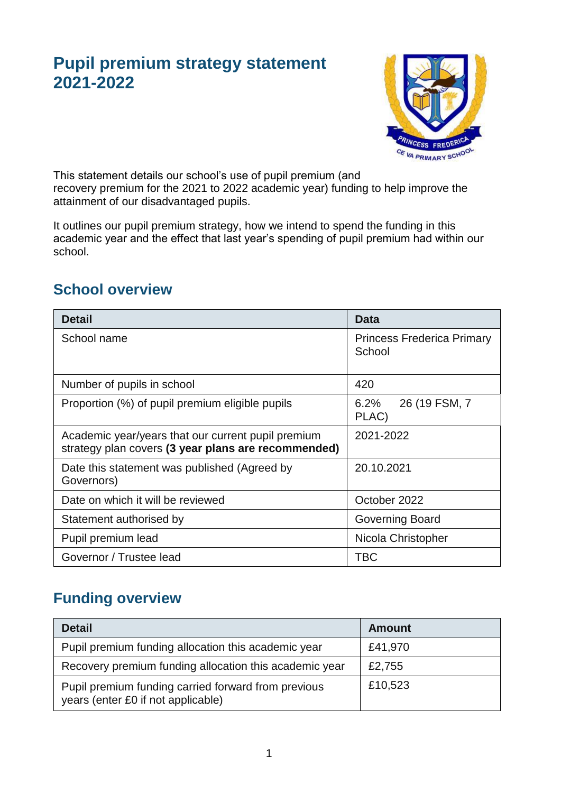# **Pupil premium strategy statement 2021-2022**



This statement details our school's use of pupil premium (and recovery premium for the 2021 to 2022 academic year) funding to help improve the attainment of our disadvantaged pupils.

It outlines our pupil premium strategy, how we intend to spend the funding in this academic year and the effect that last year's spending of pupil premium had within our school.

#### **School overview**

| <b>Detail</b>                                                                                             | <b>Data</b>                                 |  |
|-----------------------------------------------------------------------------------------------------------|---------------------------------------------|--|
| School name                                                                                               | <b>Princess Frederica Primary</b><br>School |  |
| Number of pupils in school                                                                                | 420                                         |  |
| Proportion (%) of pupil premium eligible pupils                                                           | 6.2%<br>26 (19 FSM, 7<br>PLAC)              |  |
| Academic year/years that our current pupil premium<br>strategy plan covers (3 year plans are recommended) | 2021-2022                                   |  |
| Date this statement was published (Agreed by<br>Governors)                                                | 20.10.2021                                  |  |
| Date on which it will be reviewed                                                                         | October 2022                                |  |
| Statement authorised by                                                                                   | Governing Board                             |  |
| Pupil premium lead                                                                                        | Nicola Christopher                          |  |
| Governor / Trustee lead                                                                                   | <b>TBC</b>                                  |  |

# **Funding overview**

| <b>Detail</b>                                                                             | Amount  |
|-------------------------------------------------------------------------------------------|---------|
| Pupil premium funding allocation this academic year                                       | £41,970 |
| Recovery premium funding allocation this academic year                                    | £2,755  |
| Pupil premium funding carried forward from previous<br>years (enter £0 if not applicable) | £10,523 |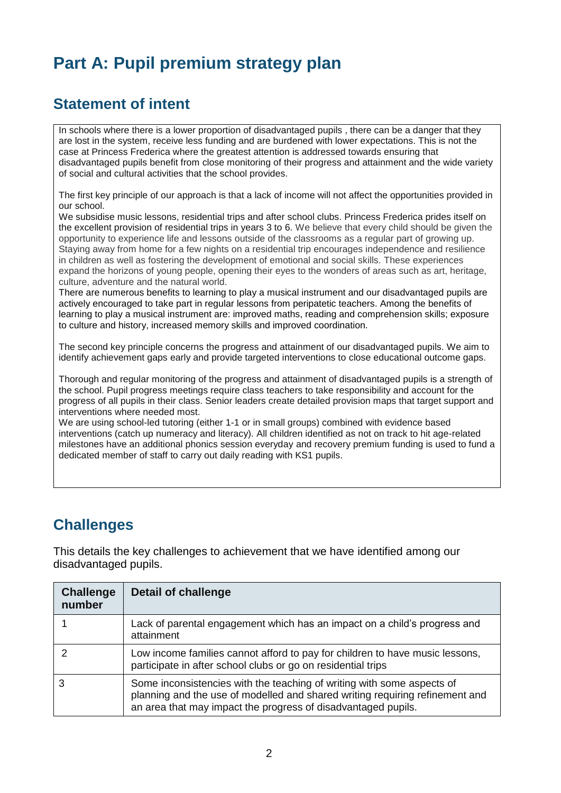# **Part A: Pupil premium strategy plan**

#### **Statement of intent**

In schools where there is a lower proportion of disadvantaged pupils , there can be a danger that they are lost in the system, receive less funding and are burdened with lower expectations. This is not the case at Princess Frederica where the greatest attention is addressed towards ensuring that disadvantaged pupils benefit from close monitoring of their progress and attainment and the wide variety of social and cultural activities that the school provides.

The first key principle of our approach is that a lack of income will not affect the opportunities provided in our school.

We subsidise music lessons, residential trips and after school clubs. Princess Frederica prides itself on the excellent provision of residential trips in years 3 to 6. We believe that every child should be given the opportunity to experience life and lessons outside of the classrooms as a regular part of growing up. Staying away from home for a few nights on a residential trip encourages independence and resilience in children as well as fostering the development of emotional and social skills. These experiences expand the horizons of young people, opening their eyes to the wonders of areas such as art, heritage, culture, adventure and the natural world.

There are numerous benefits to learning to play a musical instrument and our disadvantaged pupils are actively encouraged to take part in regular lessons from peripatetic teachers. Among the benefits of learning to play a musical instrument are: improved maths, reading and comprehension skills; exposure to culture and history, increased memory skills and improved coordination.

The second key principle concerns the progress and attainment of our disadvantaged pupils. We aim to identify achievement gaps early and provide targeted interventions to close educational outcome gaps.

Thorough and regular monitoring of the progress and attainment of disadvantaged pupils is a strength of the school. Pupil progress meetings require class teachers to take responsibility and account for the progress of all pupils in their class. Senior leaders create detailed provision maps that target support and interventions where needed most.

We are using school-led tutoring (either 1-1 or in small groups) combined with evidence based interventions (catch up numeracy and literacy). All children identified as not on track to hit age-related milestones have an additional phonics session everyday and recovery premium funding is used to fund a dedicated member of staff to carry out daily reading with KS1 pupils.

### **Challenges**

This details the key challenges to achievement that we have identified among our disadvantaged pupils.

| <b>Challenge</b><br>number | <b>Detail of challenge</b>                                                                                                                                                                                              |
|----------------------------|-------------------------------------------------------------------------------------------------------------------------------------------------------------------------------------------------------------------------|
|                            | Lack of parental engagement which has an impact on a child's progress and<br>attainment                                                                                                                                 |
|                            | Low income families cannot afford to pay for children to have music lessons,<br>participate in after school clubs or go on residential trips                                                                            |
|                            | Some inconsistencies with the teaching of writing with some aspects of<br>planning and the use of modelled and shared writing requiring refinement and<br>an area that may impact the progress of disadvantaged pupils. |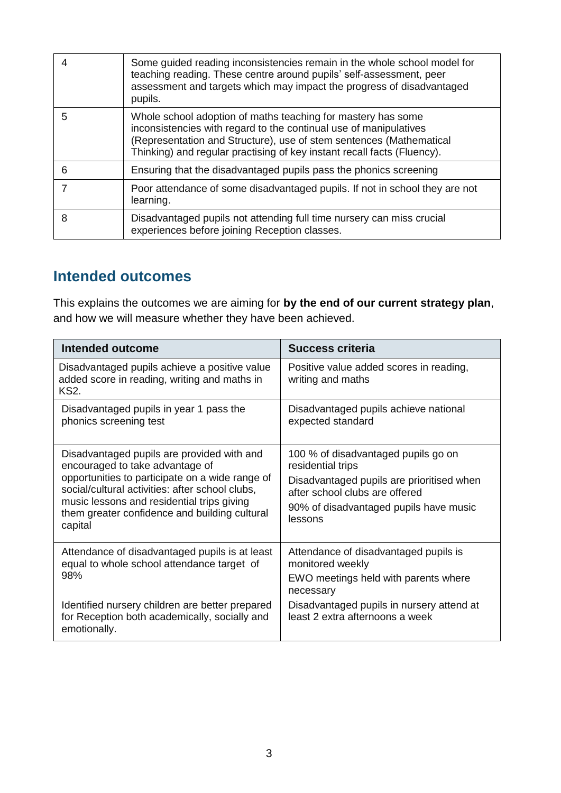|   | Some guided reading inconsistencies remain in the whole school model for<br>teaching reading. These centre around pupils' self-assessment, peer<br>assessment and targets which may impact the progress of disadvantaged<br>pupils.                                                 |
|---|-------------------------------------------------------------------------------------------------------------------------------------------------------------------------------------------------------------------------------------------------------------------------------------|
| 5 | Whole school adoption of maths teaching for mastery has some<br>inconsistencies with regard to the continual use of manipulatives<br>(Representation and Structure), use of stem sentences (Mathematical<br>Thinking) and regular practising of key instant recall facts (Fluency). |
| 6 | Ensuring that the disadvantaged pupils pass the phonics screening                                                                                                                                                                                                                   |
|   | Poor attendance of some disadvantaged pupils. If not in school they are not<br>learning.                                                                                                                                                                                            |
| 8 | Disadvantaged pupils not attending full time nursery can miss crucial<br>experiences before joining Reception classes.                                                                                                                                                              |

#### **Intended outcomes**

This explains the outcomes we are aiming for **by the end of our current strategy plan**, and how we will measure whether they have been achieved.

| Intended outcome                                                                                                                                                                                                                                                                              | Success criteria                                                                                                                                                                             |
|-----------------------------------------------------------------------------------------------------------------------------------------------------------------------------------------------------------------------------------------------------------------------------------------------|----------------------------------------------------------------------------------------------------------------------------------------------------------------------------------------------|
| Disadvantaged pupils achieve a positive value<br>added score in reading, writing and maths in<br><b>KS2.</b>                                                                                                                                                                                  | Positive value added scores in reading,<br>writing and maths                                                                                                                                 |
| Disadvantaged pupils in year 1 pass the<br>phonics screening test                                                                                                                                                                                                                             | Disadvantaged pupils achieve national<br>expected standard                                                                                                                                   |
| Disadvantaged pupils are provided with and<br>encouraged to take advantage of<br>opportunities to participate on a wide range of<br>social/cultural activities: after school clubs,<br>music lessons and residential trips giving<br>them greater confidence and building cultural<br>capital | 100 % of disadvantaged pupils go on<br>residential trips<br>Disadvantaged pupils are prioritised when<br>after school clubs are offered<br>90% of disadvantaged pupils have music<br>lessons |
| Attendance of disadvantaged pupils is at least<br>equal to whole school attendance target of<br>98%                                                                                                                                                                                           | Attendance of disadvantaged pupils is<br>monitored weekly<br>EWO meetings held with parents where<br>necessary                                                                               |
| Identified nursery children are better prepared<br>for Reception both academically, socially and<br>emotionally.                                                                                                                                                                              | Disadvantaged pupils in nursery attend at<br>least 2 extra afternoons a week                                                                                                                 |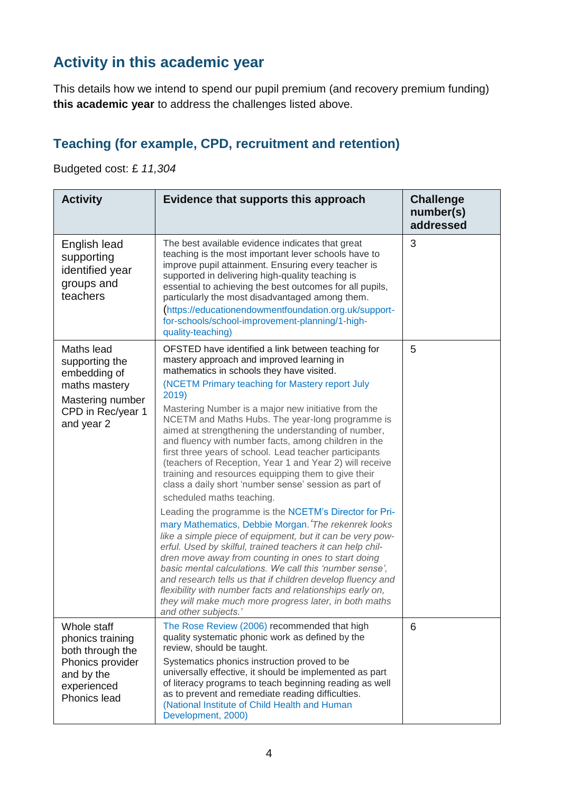# **Activity in this academic year**

This details how we intend to spend our pupil premium (and recovery premium funding) **this academic year** to address the challenges listed above.

#### **Teaching (for example, CPD, recruitment and retention)**

Budgeted cost: £ *11,304*

| <b>Activity</b>                                                                                                      | Evidence that supports this approach                                                                                                                                                                                                                                                                                                                                                                                                                                                                                                                                                                                                                                                                                                                                                                                                                                                                                                                                                                                                                                                                                                                                                                                                                                            | <b>Challenge</b><br>number(s)<br>addressed |
|----------------------------------------------------------------------------------------------------------------------|---------------------------------------------------------------------------------------------------------------------------------------------------------------------------------------------------------------------------------------------------------------------------------------------------------------------------------------------------------------------------------------------------------------------------------------------------------------------------------------------------------------------------------------------------------------------------------------------------------------------------------------------------------------------------------------------------------------------------------------------------------------------------------------------------------------------------------------------------------------------------------------------------------------------------------------------------------------------------------------------------------------------------------------------------------------------------------------------------------------------------------------------------------------------------------------------------------------------------------------------------------------------------------|--------------------------------------------|
| English lead<br>supporting<br>identified year<br>groups and<br>teachers                                              | The best available evidence indicates that great<br>teaching is the most important lever schools have to<br>improve pupil attainment. Ensuring every teacher is<br>supported in delivering high-quality teaching is<br>essential to achieving the best outcomes for all pupils,<br>particularly the most disadvantaged among them.<br>(https://educationendowmentfoundation.org.uk/support-<br>for-schools/school-improvement-planning/1-high-<br>quality-teaching)                                                                                                                                                                                                                                                                                                                                                                                                                                                                                                                                                                                                                                                                                                                                                                                                             | 3                                          |
| Maths lead<br>supporting the<br>embedding of<br>maths mastery<br>Mastering number<br>CPD in Rec/year 1<br>and year 2 | OFSTED have identified a link between teaching for<br>mastery approach and improved learning in<br>mathematics in schools they have visited.<br>(NCETM Primary teaching for Mastery report July<br>2019)<br>Mastering Number is a major new initiative from the<br>NCETM and Maths Hubs. The year-long programme is<br>aimed at strengthening the understanding of number,<br>and fluency with number facts, among children in the<br>first three years of school. Lead teacher participants<br>(teachers of Reception, Year 1 and Year 2) will receive<br>training and resources equipping them to give their<br>class a daily short 'number sense' session as part of<br>scheduled maths teaching.<br>Leading the programme is the NCETM's Director for Pri-<br>mary Mathematics, Debbie Morgan. The rekenrek looks<br>like a simple piece of equipment, but it can be very pow-<br>erful. Used by skilful, trained teachers it can help chil-<br>dren move away from counting in ones to start doing<br>basic mental calculations. We call this 'number sense',<br>and research tells us that if children develop fluency and<br>flexibility with number facts and relationships early on,<br>they will make much more progress later, in both maths<br>and other subjects.' | 5                                          |
| Whole staff<br>phonics training<br>both through the<br>Phonics provider<br>and by the<br>experienced<br>Phonics lead | The Rose Review (2006) recommended that high<br>quality systematic phonic work as defined by the<br>review, should be taught.<br>Systematics phonics instruction proved to be<br>universally effective, it should be implemented as part<br>of literacy programs to teach beginning reading as well<br>as to prevent and remediate reading difficulties.<br>(National Institute of Child Health and Human<br>Development, 2000)                                                                                                                                                                                                                                                                                                                                                                                                                                                                                                                                                                                                                                                                                                                                                                                                                                                 | 6                                          |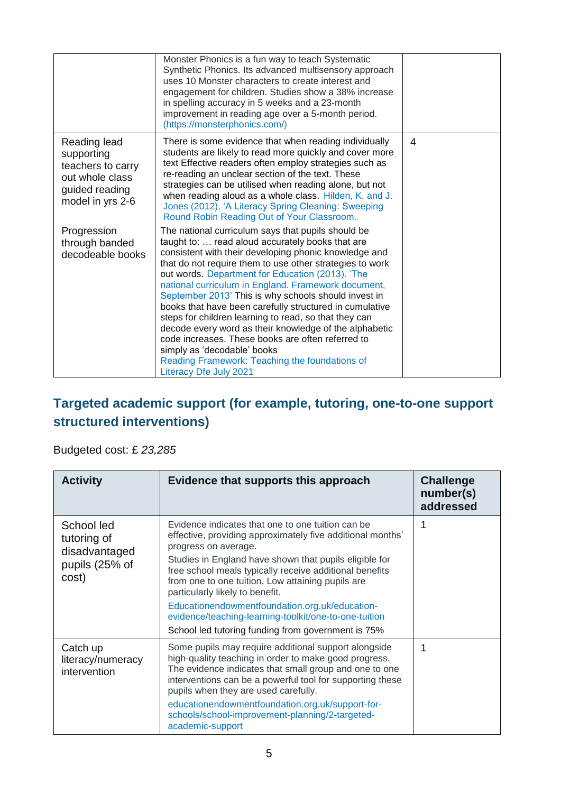|                                                                                                          | Monster Phonics is a fun way to teach Systematic<br>Synthetic Phonics. Its advanced multisensory approach<br>uses 10 Monster characters to create interest and<br>engagement for children. Studies show a 38% increase<br>in spelling accuracy in 5 weeks and a 23-month<br>improvement in reading age over a 5-month period.<br>(https://monsterphonics.com/)                                                                                                                                                                                                                                                                                                                                                                               |   |
|----------------------------------------------------------------------------------------------------------|----------------------------------------------------------------------------------------------------------------------------------------------------------------------------------------------------------------------------------------------------------------------------------------------------------------------------------------------------------------------------------------------------------------------------------------------------------------------------------------------------------------------------------------------------------------------------------------------------------------------------------------------------------------------------------------------------------------------------------------------|---|
| Reading lead<br>supporting<br>teachers to carry<br>out whole class<br>guided reading<br>model in yrs 2-6 | There is some evidence that when reading individually<br>students are likely to read more quickly and cover more<br>text Effective readers often employ strategies such as<br>re-reading an unclear section of the text. These<br>strategies can be utilised when reading alone, but not<br>when reading aloud as a whole class. Hilden, K. and J.<br>Jones (2012). 'A Literacy Spring Cleaning: Sweeping<br>Round Robin Reading Out of Your Classroom.                                                                                                                                                                                                                                                                                      | 4 |
| Progression<br>through banded<br>decodeable books                                                        | The national curriculum says that pupils should be<br>taught to:  read aloud accurately books that are<br>consistent with their developing phonic knowledge and<br>that do not require them to use other strategies to work<br>out words. Department for Education (2013). 'The<br>national curriculum in England. Framework document,<br>September 2013' This is why schools should invest in<br>books that have been carefully structured in cumulative<br>steps for children learning to read, so that they can<br>decode every word as their knowledge of the alphabetic<br>code increases. These books are often referred to<br>simply as 'decodable' books<br>Reading Framework: Teaching the foundations of<br>Literacy Dfe July 2021 |   |

#### **Targeted academic support (for example, tutoring, one-to-one support structured interventions)**

#### Budgeted cost: £ *23,285*

| <b>Activity</b>                                                       | Evidence that supports this approach                                                                                                                                                                                                                                                                                                                                                                                                                                                                                  | <b>Challenge</b><br>number(s)<br>addressed |
|-----------------------------------------------------------------------|-----------------------------------------------------------------------------------------------------------------------------------------------------------------------------------------------------------------------------------------------------------------------------------------------------------------------------------------------------------------------------------------------------------------------------------------------------------------------------------------------------------------------|--------------------------------------------|
| School led<br>tutoring of<br>disadvantaged<br>pupils (25% of<br>cost) | Evidence indicates that one to one tuition can be<br>effective, providing approximately five additional months'<br>progress on average.<br>Studies in England have shown that pupils eligible for<br>free school meals typically receive additional benefits<br>from one to one tuition. Low attaining pupils are<br>particularly likely to benefit.<br>Educationendowmentfoundation.org.uk/education-<br>evidence/teaching-learning-toolkit/one-to-one-tuition<br>School led tutoring funding from government is 75% | 1                                          |
| Catch up<br>literacy/numeracy<br>intervention                         | Some pupils may require additional support alongside<br>high-quality teaching in order to make good progress.<br>The evidence indicates that small group and one to one<br>interventions can be a powerful tool for supporting these<br>pupils when they are used carefully.<br>educationendowmentfoundation.org.uk/support-for-<br>schools/school-improvement-planning/2-targeted-<br>academic-support                                                                                                               | 1                                          |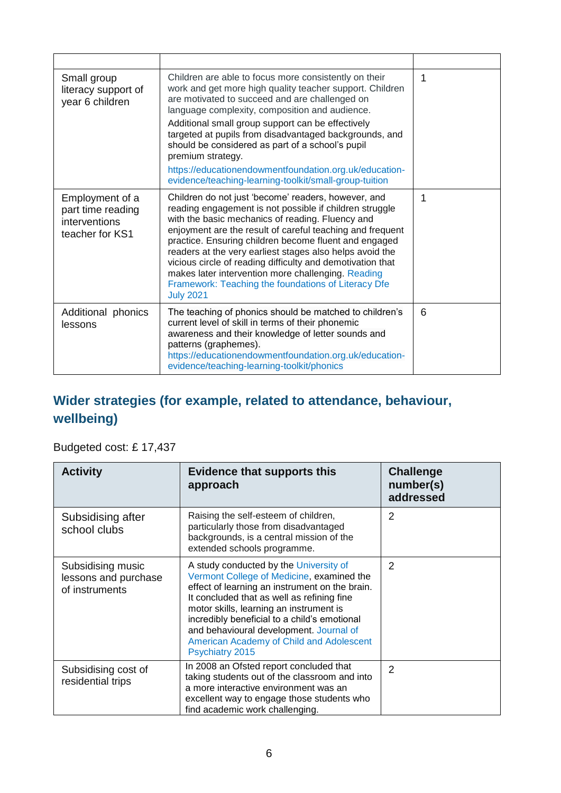| Small group<br>literacy support of<br>year 6 children                    | Children are able to focus more consistently on their<br>work and get more high quality teacher support. Children<br>are motivated to succeed and are challenged on<br>language complexity, composition and audience.<br>Additional small group support can be effectively<br>targeted at pupils from disadvantaged backgrounds, and<br>should be considered as part of a school's pupil<br>premium strategy.<br>https://educationendowmentfoundation.org.uk/education-<br>evidence/teaching-learning-toolkit/small-group-tuition                   | 1 |
|--------------------------------------------------------------------------|-----------------------------------------------------------------------------------------------------------------------------------------------------------------------------------------------------------------------------------------------------------------------------------------------------------------------------------------------------------------------------------------------------------------------------------------------------------------------------------------------------------------------------------------------------|---|
| Employment of a<br>part time reading<br>interventions<br>teacher for KS1 | Children do not just 'become' readers, however, and<br>reading engagement is not possible if children struggle<br>with the basic mechanics of reading. Fluency and<br>enjoyment are the result of careful teaching and frequent<br>practice. Ensuring children become fluent and engaged<br>readers at the very earliest stages also helps avoid the<br>vicious circle of reading difficulty and demotivation that<br>makes later intervention more challenging. Reading<br>Framework: Teaching the foundations of Literacy Dfe<br><b>July 2021</b> | 1 |
| Additional phonics<br>lessons                                            | The teaching of phonics should be matched to children's<br>current level of skill in terms of their phonemic<br>awareness and their knowledge of letter sounds and<br>patterns (graphemes).<br>https://educationendowmentfoundation.org.uk/education-<br>evidence/teaching-learning-toolkit/phonics                                                                                                                                                                                                                                                 | 6 |

#### **Wider strategies (for example, related to attendance, behaviour, wellbeing)**

#### Budgeted cost: £ 17,437

| <b>Activity</b>                                             | <b>Evidence that supports this</b><br>approach                                                                                                                                                                                                                                                                                                                                           | <b>Challenge</b><br>number(s)<br>addressed |
|-------------------------------------------------------------|------------------------------------------------------------------------------------------------------------------------------------------------------------------------------------------------------------------------------------------------------------------------------------------------------------------------------------------------------------------------------------------|--------------------------------------------|
| Subsidising after<br>school clubs                           | Raising the self-esteem of children,<br>particularly those from disadvantaged<br>backgrounds, is a central mission of the<br>extended schools programme.                                                                                                                                                                                                                                 | 2                                          |
| Subsidising music<br>lessons and purchase<br>of instruments | A study conducted by the University of<br>Vermont College of Medicine, examined the<br>effect of learning an instrument on the brain.<br>It concluded that as well as refining fine<br>motor skills, learning an instrument is<br>incredibly beneficial to a child's emotional<br>and behavioural development. Journal of<br>American Academy of Child and Adolescent<br>Psychiatry 2015 | $\overline{2}$                             |
| Subsidising cost of<br>residential trips                    | In 2008 an Ofsted report concluded that<br>taking students out of the classroom and into<br>a more interactive environment was an<br>excellent way to engage those students who<br>find academic work challenging.                                                                                                                                                                       | $\overline{2}$                             |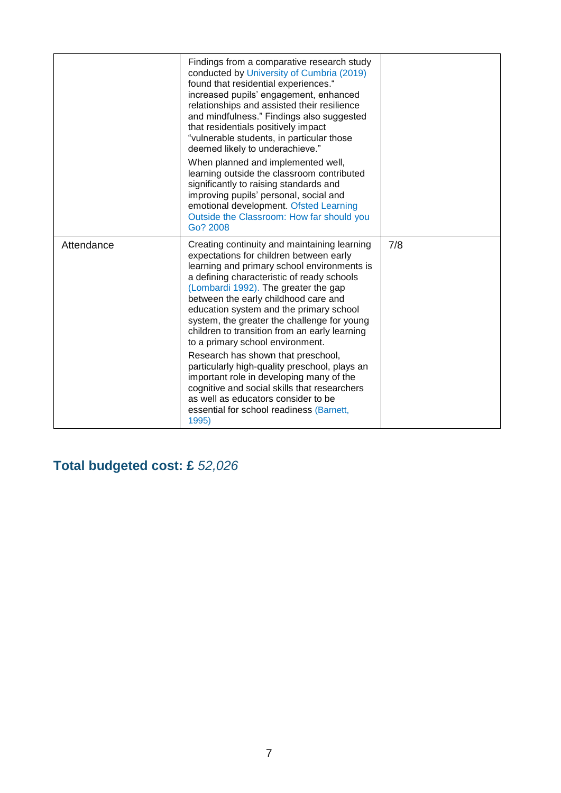|            | Findings from a comparative research study<br>conducted by University of Cumbria (2019)<br>found that residential experiences."<br>increased pupils' engagement, enhanced<br>relationships and assisted their resilience<br>and mindfulness." Findings also suggested<br>that residentials positively impact<br>"vulnerable students, in particular those<br>deemed likely to underachieve."<br>When planned and implemented well,<br>learning outside the classroom contributed<br>significantly to raising standards and<br>improving pupils' personal, social and<br>emotional development. Ofsted Learning<br>Outside the Classroom: How far should you<br>Go? 2008                                                            |     |
|------------|------------------------------------------------------------------------------------------------------------------------------------------------------------------------------------------------------------------------------------------------------------------------------------------------------------------------------------------------------------------------------------------------------------------------------------------------------------------------------------------------------------------------------------------------------------------------------------------------------------------------------------------------------------------------------------------------------------------------------------|-----|
| Attendance | Creating continuity and maintaining learning<br>expectations for children between early<br>learning and primary school environments is<br>a defining characteristic of ready schools<br>(Lombardi 1992). The greater the gap<br>between the early childhood care and<br>education system and the primary school<br>system, the greater the challenge for young<br>children to transition from an early learning<br>to a primary school environment.<br>Research has shown that preschool,<br>particularly high-quality preschool, plays an<br>important role in developing many of the<br>cognitive and social skills that researchers<br>as well as educators consider to be<br>essential for school readiness (Barnett,<br>1995) | 7/8 |

**Total budgeted cost: £** *52,026*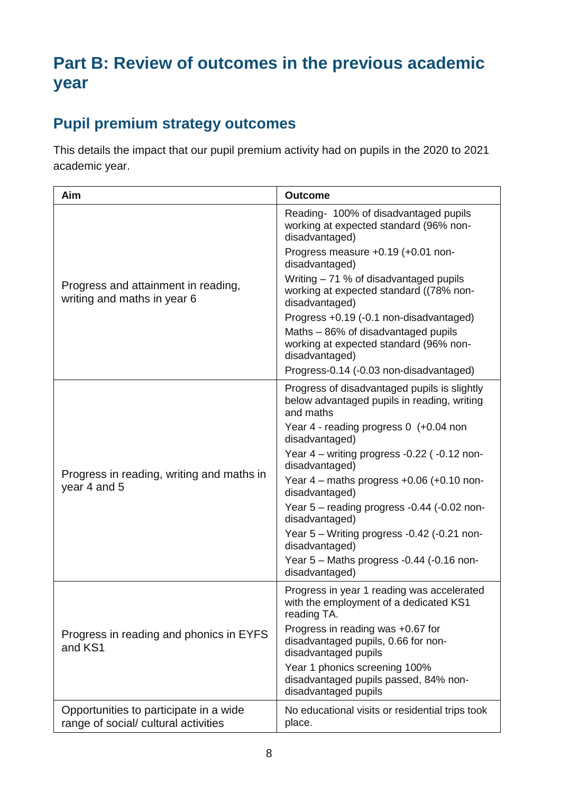# **Part B: Review of outcomes in the previous academic year**

## **Pupil premium strategy outcomes**

This details the impact that our pupil premium activity had on pupils in the 2020 to 2021 academic year.

| Aim                                                                            | <b>Outcome</b>                                                                                           |
|--------------------------------------------------------------------------------|----------------------------------------------------------------------------------------------------------|
| Progress and attainment in reading,<br>writing and maths in year 6             | Reading- 100% of disadvantaged pupils<br>working at expected standard (96% non-<br>disadvantaged)        |
|                                                                                | Progress measure +0.19 (+0.01 non-<br>disadvantaged)                                                     |
|                                                                                | Writing - 71 % of disadvantaged pupils<br>working at expected standard ((78% non-<br>disadvantaged)      |
|                                                                                | Progress +0.19 (-0.1 non-disadvantaged)                                                                  |
|                                                                                | Maths - 86% of disadvantaged pupils<br>working at expected standard (96% non-<br>disadvantaged)          |
|                                                                                | Progress-0.14 (-0.03 non-disadvantaged)                                                                  |
|                                                                                | Progress of disadvantaged pupils is slightly<br>below advantaged pupils in reading, writing<br>and maths |
|                                                                                | Year 4 - reading progress 0 (+0.04 non<br>disadvantaged)                                                 |
|                                                                                | Year 4 – writing progress -0.22 (-0.12 non-<br>disadvantaged)                                            |
| Progress in reading, writing and maths in<br>year 4 and 5                      | Year $4$ – maths progress $+0.06$ ( $+0.10$ non-<br>disadvantaged)                                       |
|                                                                                | Year 5 - reading progress -0.44 (-0.02 non-<br>disadvantaged)                                            |
|                                                                                | Year 5 - Writing progress -0.42 (-0.21 non-<br>disadvantaged)                                            |
|                                                                                | Year 5 - Maths progress -0.44 (-0.16 non-<br>disadvantaged)                                              |
|                                                                                | Progress in year 1 reading was accelerated<br>with the employment of a dedicated KS1<br>reading TA.      |
| Progress in reading and phonics in EYFS<br>and KS1                             | Progress in reading was +0.67 for<br>disadvantaged pupils, 0.66 for non-<br>disadvantaged pupils         |
|                                                                                | Year 1 phonics screening 100%<br>disadvantaged pupils passed, 84% non-<br>disadvantaged pupils           |
| Opportunities to participate in a wide<br>range of social/ cultural activities | No educational visits or residential trips took<br>place.                                                |